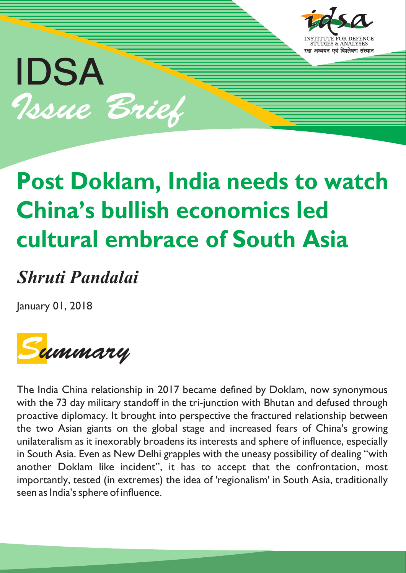

# IDSA Issue Brief

## **Post Doklam, India needs to watch China's bullish economics led cultural embrace of South Asia**

### *Shruti Pandalai*

January 01, 2018



The India China relationship in 2017 became defined by Doklam, now synonymous with the 73 day military standoff in the tri-junction with Bhutan and defused through proactive diplomacy. It brought into perspective the fractured relationship between the two Asian giants on the global stage and increased fears of China's growing unilateralism as it inexorably broadens its interests and sphere of influence, especially in South Asia. Even as New Delhi grapples with the uneasy possibility of dealing "with another Doklam like incident", it has to accept that the confrontation, most importantly, tested (in extremes) the idea of 'regionalism' in South Asia, traditionally seen as India's sphere of influence.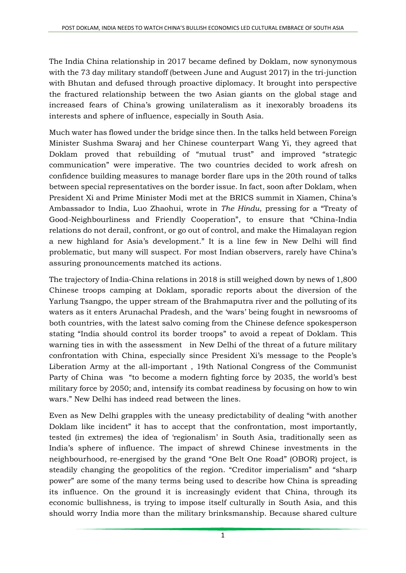The India China relationship in 2017 became defined by [Doklam,](http://economictimes.indiatimes.com/news/defence/doklam-standoff-a-look-at-key-background-of-the-dispute/articleshow/59748578.cms) now synonymous with the 73 day military standoff (between June and August 2017) in the tri-junction with Bhutan and defused through proactive diplomacy. It brought into perspective the fractured relationship between the two Asian giants on the global stage and increased fears of China's growing unilateralism as it inexorably broadens its interests and sphere of influence, especially in South Asia.

Much water has flowed under the bridge since then. In the [talks](http://indiatoday.intoday.in/story/doklam-was-a-serious-test-of-ties-chinese-foreign-minister-tells-sushma-swaraj/1/1108229.html) held between Foreign Minister Sushma Swaraj and her Chinese counterpart Wang Yi, they agreed that Doklam proved that rebuilding of "mutual trust" and improved "strategic communication" were imperative. The two countries decided to work afresh on confidence building measures to manage border flare ups in the 20th [round](http://www.mea.gov.in/press-releases.htm?dtl/29232/20th+Meeting+of+the+Special+Representatives+of+India+and+China+December+22+2017) of talks between special representatives on the border issue. In fact, soon after Doklam, when President Xi and Prime Minister Modi met at the BRICS summit in Xiamen, China's Ambassador to India, Luo Zhaohui, [wrote](http://www.thehindu.com/opinion/op-ed/turn-the-page-to-a-new-chapter/article19729682.ece) in *The Hindu*, pressing for a "Treaty of Good-Neighbourliness and Friendly Cooperation", to ensure that "China-India relations do not derail, confront, or go out of control, and make the Himalayan region a new highland for Asia's development." It is a line few in New Delhi will find problematic, but many will suspect. For most Indian observers, rarely have China's assuring pronouncements matched its actions.

The trajectory of India-China relations in 2018 is still weighed down by news of [1,800](https://timesofindia.indiatimes.com/india/in-first-winter-stay-1800-chinese-troops-camping-at-doklam/articleshow/62014175.cms) Chinese troops [camping](https://timesofindia.indiatimes.com/india/in-first-winter-stay-1800-chinese-troops-camping-at-doklam/articleshow/62014175.cms) at Doklam, sporadic reports about the [diversion](http://www.livemint.com/Opinion/ZPKM8YtCV8Je6sNs0VzScK/Is-China-muddying-Brahmaputra-waters.html) of the Yarlung Tsangpo, the upper stream of the Brahmaputra river and the polluting of its waters as it enters Arunachal Pradesh, and the 'wars' being fought in newsrooms of both countries, with the latest salvo coming from the Chinese defence [spokesperson](https://economictimes.indiatimes.com/news/defence/india-should-control-its-border-troops-chinese-military/articleshow/62282633.cms) stating "India should control its border troops" to avoid a repeat of Doklam. This warning ties in with the [assessment](http://www.dnaindia.com/analysis/column-how-xi-exercises-complete-control-over-chinese-polity-2561379) in New Delhi of the threat of a future military confrontation with China, especially since President Xi's message to the People's Liberation Army at the all-important , 19th National Congress of the Communist Party of China was "to become a [modern](http://www.dnaindia.com/analysis/column-how-xi-exercises-complete-control-over-chinese-polity-2561379) fighting force by 2035, the world's best military force by 2050; and, intensify its combat [readiness](http://www.dnaindia.com/analysis/column-how-xi-exercises-complete-control-over-chinese-polity-2561379) by focusing on how to win wars." New Delhi has indeed read [between](http://www.dnaindia.com/analysis/column-how-xi-exercises-complete-control-over-chinese-polity-2561379) the lines.

Even as New Delhi grapples with the uneasy predictability of dealing "with another Doklam like incident" it has to accept that the confrontation, most importantly, tested (in extremes) the idea of 'regionalism' in South Asia, traditionally seen as India's sphere of influence. The impact of shrewd Chinese investments in the neighbourhood, re-energised by the grand "One Belt One Road" (OBOR) project, is steadily changing the geopolitics of the region. "Creditor [imperialism"](https://www.project-syndicate.org/commentary/china-sri-lanka-hambantota-port-debt-by-brahma-chellaney-2017-12) and "[sharp](https://www.economist.com/news/leaders/21732524-china-manipulating-decision-makers-western-democracies-best-defence) [power"](https://www.economist.com/news/leaders/21732524-china-manipulating-decision-makers-western-democracies-best-defence) are some of the many terms being used to describe how China is spreading its influence. On the ground it is increasingly evident that China, through its economic bullishness, is trying to impose itself culturally in South Asia, and this should worry India more than the military brinksmanship. Because shared culture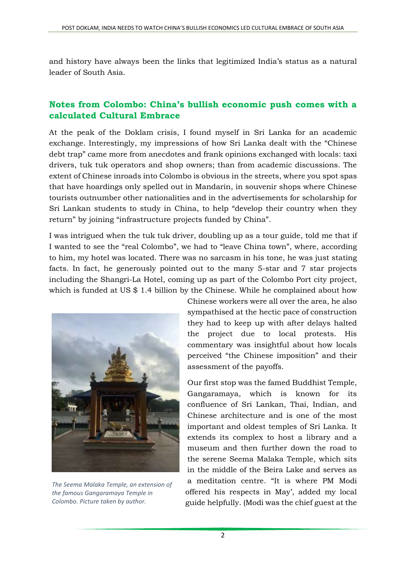and history have always been the links that legitimized India's status as a natural leader of South Asia.

#### **Notes from Colombo: China's bullish economic push comes with a calculated Cultural Embrace**

At the peak of the Doklam crisis, I found myself in Sri Lanka for an academic exchange. Interestingly, my impressions of how Sri Lanka dealt with the "Chinese debt trap" came more from anecdotes and frank opinions exchanged with locals: taxi drivers, tuk tuk operators and shop owners; than from academic discussions. The extent of Chinese inroads into Colombo is obvious in the streets, where you spot spas that have hoardings only spelled out in Mandarin, in souvenir shops where Chinese tourists outnumber other nationalities and in the advertisements for [scholarship](http://news.xinhuanet.com/english/2017-08/02/c_136494319.htm) for Sri Lankan students to study in China, to help "develop their country when they return" by joining "infrastructure projects funded by China".

I was intrigued when the tuk tuk driver, doubling up as a tour guide, told me that if I wanted to see the "real Colombo", we had to "leave China town", where, according to him, my hotel was located. There was no sarcasm in his tone, he was just stating facts. In fact, he generously pointed out to the many 5-star and 7 star projects including the Shangri-La Hotel, coming up as part of the Colombo Port city project, which is funded at US \$ 1.4 billion by the [Chinese.](http://www.chinadaily.com.cn/business/2017-04/08/content_28843049.htm) While he complained about how



*The Seema Malaka Temple, an extension of the famous Gangaramaya Temple in Colombo. Picture taken by author.*

Chinese workers were all over the area, he also sympathised at the hectic pace of construction they had to keep up with after [delays](http://in.reuters.com/article/sri-lanka-china-portcity-idINKCN10D18B) halted the project due to local protests. His commentary was insightful about how locals perceived "the Chinese imposition" and their assessment of the payoffs.

Our first stop was the famed Buddhist Templ[e,](http://gangaramaya.com/) [Gangaramaya,](http://gangaramaya.com/) which is known for its confluence of Sri Lankan, Thai, Indian, and Chinese architecture and is one of the most important and oldest temples of Sri Lanka. It extends its complex to host a library and a museum and then further down the road to the serene Seema Malaka Temple, which sits in the middle of the Beira Lake and serves as a meditation centre. "It is where PM Modi offered his respects in May', added my local guide helpfully. (Modi was the chief guest at the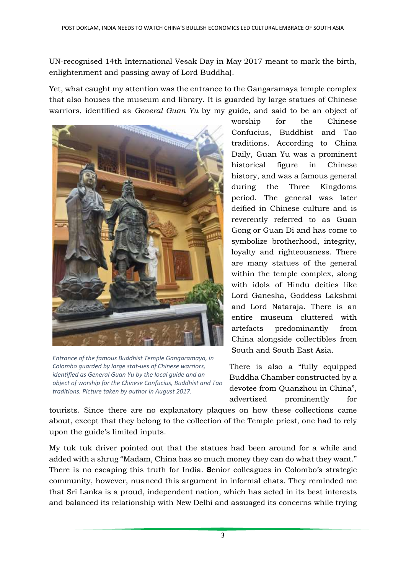UN-recognised 14th International Vesak Day in May 2017 meant to mark the birth, enlightenment and passing away of Lord Buddha).

Yet, what caught my attention was the entrance to the Gangaramaya temple complex that also houses the museum and library. It is guarded by large statues of Chinese warriors, identified as *General Guan Yu* by my guide, and said to be an object of



*Entrance of the famous Buddhist Temple Gangaramaya, in Colombo guarded by large stat-ues of Chinese warriors, identified as General Guan Yu by the local guide and an object of worship for the Chinese Confucius, Buddhist and Tao traditions. Picture taken by author in August 2017.*

worship for the Chinese Confucius, Buddhist and Tao traditions. According to [China](http://twistedsifter.com/2016/07/china-unveils-statue-of-deified-general-guan-yu-jingzhou/) [Daily,](http://twistedsifter.com/2016/07/china-unveils-statue-of-deified-general-guan-yu-jingzhou/) Guan Yu was a prominent historical figure in Chinese history, and was a famous general during the Three Kingdoms period. The general was later deified in Chinese culture and is reverently referred to as Guan Gong or Guan Di and has come to [symbolize](http://twistedsifter.com/2016/07/china-unveils-statue-of-deified-general-guan-yu-jingzhou/) brotherhood, integrity, loyalty and righteousness. There are many statues of the general within the temple complex, along with idols of Hindu deities like Lord Ganesha, Goddess Lakshmi and Lord Nataraja. There is an entire museum cluttered with artefacts predominantly from China alongside collectibles from South and South East Asia.

There is also a "fully equipped Buddha Chamber constructed by a devotee from Quanzhou in China", advertised prominently for

tourists. Since there are no explanatory plaques on how these collections came about, except that they belong to the collection of the Temple priest, one had to rely upon the guide's limited inputs.

My tuk tuk driver pointed out that the statues had been around for a while and added with a shrug "Madam, China has so much money they can do what they want." There is no escaping this truth for India. **S**enior colleagues in Colombo's strategic community, however, nuanced this argument in informal chats. They reminded me that Sri Lanka is a proud, independent nation, which has acted in its best interests and balanced its relationship with New Delhi and assuaged its concerns while trying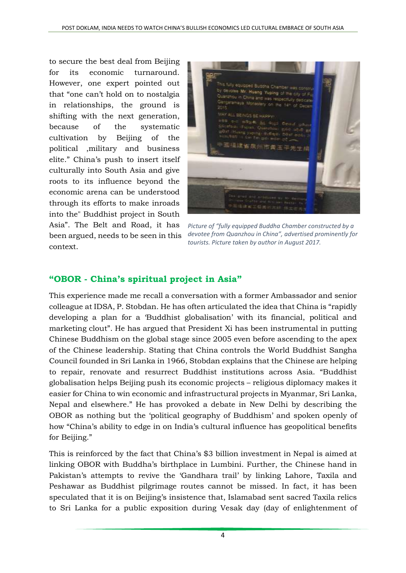to secure the best deal from Beijing for its economic turnaround. However, one expert pointed out that "one can't hold on to nostalgia in relationships, the ground is shifting with the next generation, because of the systematic cultivation by Beijing of the political ,military and business elite." China's push to insert itself culturally into South Asia and give roots to its influence beyond the economic arena can be understood through its efforts to make inroads into the" Buddhist project in South Asia". The Belt and Road, it has been [argued,](https://thewire.in/133670/india-china-buddhist/) needs to be seen in this context.



*Picture of "fully equipped Buddha Chamber constructed by a devotee from Quanzhou in China", advertised prominently for tourists. Picture taken by author in August 2017.*

#### **"OBOR - China's spiritual project in Asia"**

This experience made me recall a conversation with a former Ambassador and senior colleague at IDSA, P. Stobdan. He has often [articulated](https://thewire.in/133670/india-china-buddhist/) the idea that China is "rapidly developing a plan for a 'Buddhist globalisation' with its financial, political and marketing clout". He has argued that President Xi has been instrumental in putting Chinese Buddhism on the global stage since 2005 even before ascending to the apex of the Chinese leadership. Stating that China [controls](https://thewire.in/133670/india-china-buddhist/) the World Buddhist Sangha Council founded in Sri Lanka in 1966, Stobdan explains that the Chinese are helping to repair, renovate and resurrect Buddhist institutions across Asia. "Buddhist globalisation helps Beijing push its economic projects – religious diplomacy makes it easier for China to win economic and infrastructural projects in Myanmar, Sri Lanka, Nepal and elsewhere." He has provoked a debate in New Delhi by [describing](https://thewire.in/133670/india-china-buddhist/) the OBOR as nothing but the 'political geography of Buddhism' and spoken openly of how "China's ability to edge in on India's cultural influence has geopolitical benefits for Beijing."

This is reinforced by the fact that China's \$3 billion investment in Nepal is aimed at linking OBOR with Buddha's birthplace in Lumbini. Further, the Chinese hand in Pakistan's attempts to revive the ['Gandhara](http://www.dailypioneer.com/columnists/oped/beijings-hard-and-soft-touch.html) trail' by linking Lahore, Taxila and Peshawar as Buddhist pilgrimage routes cannot be missed. In fact, it has [been](https://thewire.in/83060/buddhism-soft-power-india-china/) [speculated](https://thewire.in/83060/buddhism-soft-power-india-china/) that it is on Beijing's insistence that, Islamabad sent [sacred](http://www.asiantribune.com/node/88974) Taxila relics to Sri Lanka for a public exposition during Vesak day (day of enlightenment of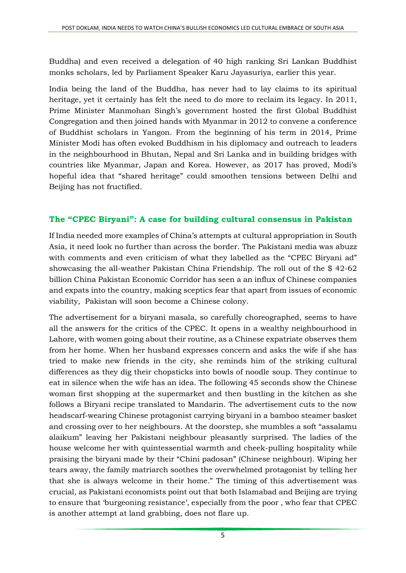Buddha) and even received a [delegation](https://www.dawn.com/news/1253257) of 40 high ranking Sri Lankan Buddhist monks scholars, led by Parliament Speaker Karu Jayasuriya, earlier this year.

India being the land of the Buddha, has never had to lay claims to its spiritual heritage, yet it certainly has felt the need to do more to reclaim its legacy. In 2011, Prime Minister Manmohan Singh's government hosted the first Global [Buddhist](http://indianexpress.com/article/opinion/editorials/chinesetakeaway-modis-buddhism/) [Congregation](http://indianexpress.com/article/opinion/editorials/chinesetakeaway-modis-buddhism/) and then joined hands with Myanmar in 2012 to convene a [conference](http://indianexpress.com/article/opinion/editorials/chinesetakeaway-modis-buddhism/) of [Buddhist](http://indianexpress.com/article/opinion/editorials/chinesetakeaway-modis-buddhism/) scholars in Yangon. From the beginning of his term in 2014, Prime Minister Modi has often evoked [Buddhism](http://indianexpress.com/article/opinion/editorials/chinesetakeaway-modis-buddhism/) in his diplomacy and outreach to leaders in the neighbourhood in Bhutan, Nepal and Sri Lanka and in building bridges with countries like Myanmar, Japan and Korea. However, as 2017 has proved, Modi's hopeful idea that "shared [heritage"](http://indianexpress.com/article/opinion/editorials/chinesetakeaway-modis-buddhism/) could smoothen tensions between Delhi and Beijing has not fructified.

#### **The "CPEC Biryani": A case for building cultural consensus in Pakistan**

If India needed more examples of China's attempts at cultural appropriation in South Asia, it need look no further than across the border. The Pakistani media was [abuzz](https://www.mangobaaz.com/so-the-shan-ad-went-viral-as-expected-and-pakistanis-had-a-lot-to-say/) with [comments](https://www.thenews.com.pk/latest/200452-Chinese-woman-wins-neighbours-hearts-with-Pakistani-biryani) and even criticism of what they labelled as the "CPEC [Biryani](https://www.youtube.com/watch?v=2AyfJj1qlJY&t=10s) ad" showcasing the all-weather Pakistan China Friendship. The roll out of the \$ 42-62 billion China Pakistan Economic Corridor has seen a an influx of Chinese [companies](http://tns.thenews.com.pk/chinese-arrived/#.WcfsF9MjGRs) and [expats](http://tns.thenews.com.pk/chinese-arrived/#.WcfsF9MjGRs) into the country, making sceptics fear that apart from issues of economic viability, [Pakistan](http://economictimes.indiatimes.com/news/defence/after-obor-gets-ready-pakistan-will-become-chinas-colony-s-akbar-zaidi/articleshow/59100114.cms) will soon become a Chinese colony.

The advertisement for a biryani masala, so carefully choreographed, seems to have all the answers for the critics of the CPEC. It opens in a wealthy neighbourhood in Lahore, with women going about their routine, as a Chinese expatriate observes them from her home. When her husband expresses concern and asks the wife if she has tried to make new friends in the city, she reminds him of the striking cultural differences as they dig their chopsticks into bowls of noodle soup. They continue to eat in silence when the wife has an idea. The following 45 seconds show the Chinese woman first shopping at the supermarket and then bustling in the kitchen as she follows a Biryani recipe translated to Mandarin. The advertisement cuts to the now headscarf-wearing Chinese protagonist carrying biryani in a bamboo steamer basket and crossing over to her neighbours. At the doorstep, she mumbles a soft "assalamu alaikum" leaving her Pakistani neighbour pleasantly surprised. The ladies of the house welcome her with quintessential warmth and cheek-pulling hospitality while praising the biryani made by their "Chini padosan" (Chinese neighbour). Wiping her tears away, the family matriarch soothes the overwhelmed protagonist by telling her that she is always welcome in their home." The timing of this advertisement was crucial, as Pakistani [economists](https://qz.com/1033028/china-pakistan-economic-corridor-cpec-the-growing-resentment-and-resistance-among-poor-pakistanis-can-cost-china-dearly/) point out that both Islamabad and Beijing are trying to ensure that 'burgeoning resistance', especially from the poor , who fear that CPEC is another attempt at land grabbing, does not flare up.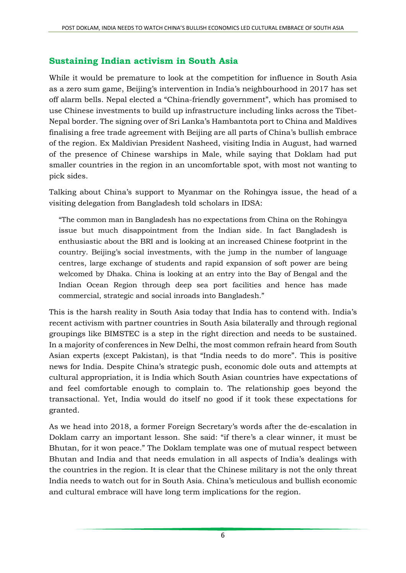#### **Sustaining Indian activism in South Asia**

While it would be premature to look at the competition for influence in South Asia as a zero sum game, Beijing's intervention in India's neighbourhood in 2017 has set off alarm bells. Nepal elected a "China-friendly government", which has promised to use Chinese investments to build up infrastructure including links across the Tibet-Nepal border. The signing over of Sri Lanka's Hambantota port to China and Maldives finalising a free trade agreement with Beijing are all parts of China's bullish embrace of the region. Ex Maldivian [President](http://www.thehindu.com/news/national/ex-president-flags-presence-of-chinese-warships-in-male/article19582196.ece) Nasheed, visiting India in August, had warned of the presence of Chinese warships in Male, while [saying](http://indianexpress.com/article/india/nasheed-snubs-china-india-maldives-ties-over-2000-years-4813887/) that Doklam had put smaller countries in the region in an uncomfortable spot, with most not wanting to pick sides.

Talking about China's support to Myanmar on the Rohingya issue, the head of a visiting delegation from Bangladesh told scholars in IDSA:

"The common man in Bangladesh has no expectations from China on the Rohingya issue but much disappointment from the Indian side. In fact Bangladesh is enthusiastic about the BRI and is looking at an increased Chinese footprint in the country. Beijing's social investments, with the jump in the number of language centres, large exchange of students and rapid expansion of soft power are being welcomed by Dhaka. China is looking at an entry into the Bay of Bengal and the Indian Ocean Region through deep sea port facilities and hence has made commercial, strategic and social inroads into Bangladesh."

This is the harsh reality in South Asia today that India has to contend with. India's [recent](http://www.colombopage.com/archive_17B/Sep09_1504972523CH.php) [activism](https://www.ndtv.com/india-news/india-announces-taking-up-116-high-impact-projects-in-afghanistan-1753542) with [partner](http://economictimes.indiatimes.com/news/politics-and-nation/india-collaborating-with-russia-for-nuclear-power-plant-in-bangladesh/articleshow/60767263.cms) [countries](http://www.dailypioneer.com/todays-newspaper/dhaka-wants-indias-big-role-in-resolving-rohingya-crisis.html) in South Asia bilaterally and through regional groupings like [BIMSTEC](http://indiatoday.intoday.in/story/bimstec-for-prioritising-fast-tracking-areas-of-cooperation/1/1048918.html) is a step in the right direction and needs to be sustained. In a majority of conferences in New Delhi, the most common refrain heard from South Asian experts (except Pakistan), is that "India needs to do more". This is positive news for India. Despite China's strategic push, economic dole outs and attempts at cultural appropriation, it is India which South Asian countries have expectations of and feel comfortable enough to complain to. The relationship goes beyond the transactional. Yet, India would do itself no good if it took these expectations for granted.

As we head into 2018, a former Foreign Secretary's words after the de-escalation in Doklam carry an important lesson. She said: "if there's a clear winner, it must be Bhutan, for it won peace." The Doklam template was one of mutual respect between Bhutan and India and that needs emulation in all aspects of India's dealings with the countries in the region. It is clear that the Chinese military is not the only threat India needs to watch out for in South Asia. China's meticulous and bullish economic and cultural embrace will have long term implications for the region.